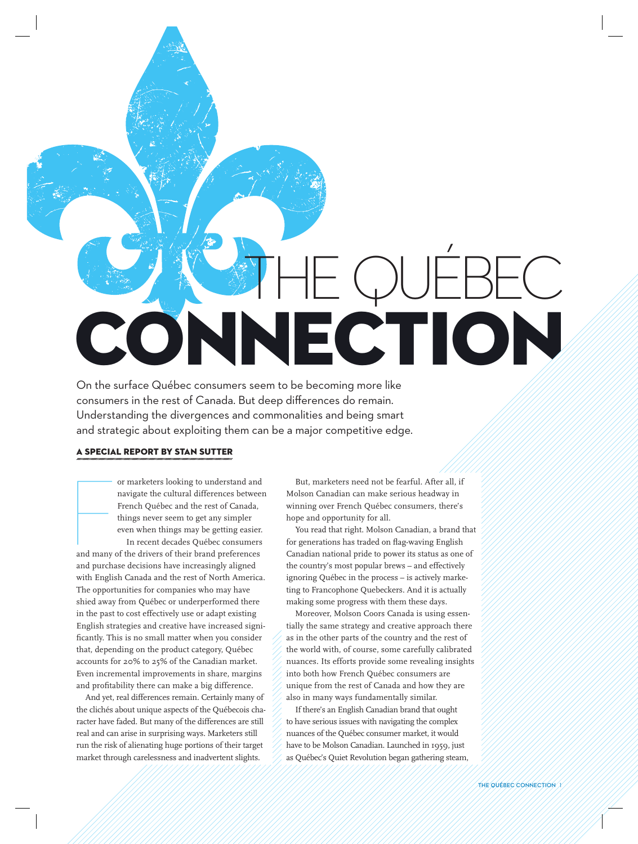# CONNECTION THE QUÉBEC

On the surface Québec consumers seem to be becoming more like consumers in the rest of Canada. But deep differences do remain. Understanding the divergences and commonalities and being smart and strategic about exploiting them can be a major competitive edge.

#### A SPECIAL REPORT BY STAN SUTTER

or marketers looking to understand and<br>
navigate the cultural differences betweer<br>
French Québec and the rest of Canada,<br>
things never seem to get any simpler<br>
even when things may be getting easier.<br>
In recent decades Qué navigate the cultural differences between French Québec and the rest of Canada, things never seem to get any simpler even when things may be getting easier. In recent decades Québec consumers

and purchase decisions have increasingly aligned with English Canada and the rest of North America. The opportunities for companies who may have shied away from Québec or underperformed there in the past to cost effectively use or adapt existing English strategies and creative have increased significantly. This is no small matter when you consider that, depending on the product category, Québec accounts for 20% to 25% of the Canadian market. Even incremental improvements in share, margins and profitability there can make a big difference.

And yet, real differences remain. Certainly many of the clichés about unique aspects of the Québecois character have faded. But many of the differences are still real and can arise in surprising ways. Marketers still run the risk of alienating huge portions of their target market through carelessness and inadvertent slights.

But, marketers need not be fearful. After all, if Molson Canadian can make serious headway in winning over French Québec consumers, there's hope and opportunity for all.

You read that right. Molson Canadian, a brand that for generations has traded on flag-waving English Canadian national pride to power its status as one of the country's most popular brews – and effectively ignoring Québec in the process – is actively marketing to Francophone Quebeckers. And it is actually making some progress with them these days.

Moreover, Molson Coors Canada is using essentially the same strategy and creative approach there as in the other parts of the country and the rest of the world with, of course, some carefully calibrated nuances. Its efforts provide some revealing insights into both how French Québec consumers are unique from the rest of Canada and how they are also in many ways fundamentally similar.

If there's an English Canadian brand that ought to have serious issues with navigating the complex nuances of the Québec consumer market, it would have to be Molson Canadian. Launched in 1959, just as Québec's Quiet Revolution began gathering steam,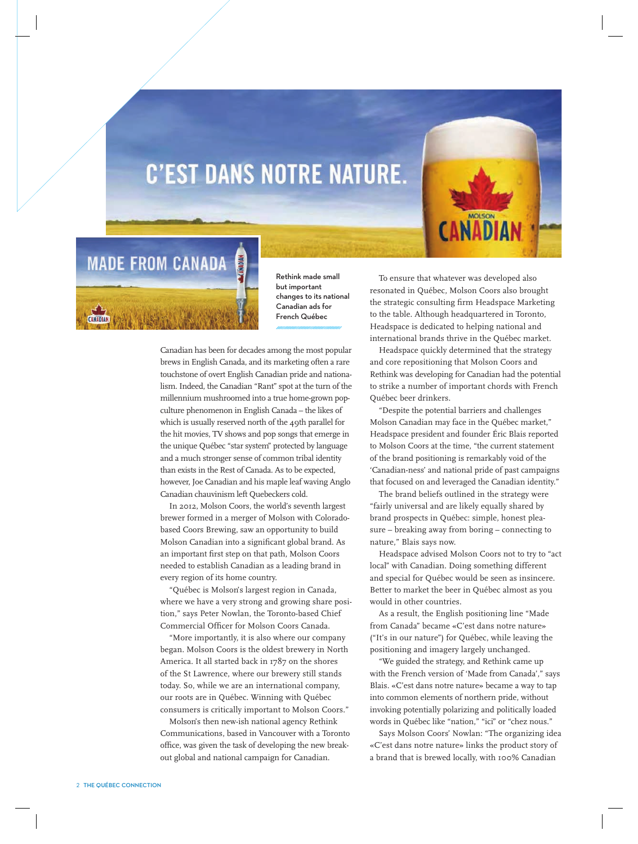### **C'EST DANS NOTRE NATURE.**





Rethink made small but important changes to its national Canadian ads for French Québec

Canadian has been for decades among the most popular brews in English Canada, and its marketing often a rare touchstone of overt English Canadian pride and nationalism. Indeed, the Canadian "Rant" spot at the turn of the millennium mushroomed into a true home-grown popculture phenomenon in English Canada – the likes of which is usually reserved north of the 49th parallel for the hit movies, TV shows and pop songs that emerge in the unique Québec "star system" protected by language and a much stronger sense of common tribal identity than exists in the Rest of Canada. As to be expected, however, Joe Canadian and his maple leaf waving Anglo Canadian chauvinism left Quebeckers cold.

In 2012, Molson Coors, the world's seventh largest brewer formed in a merger of Molson with Coloradobased Coors Brewing, saw an opportunity to build Molson Canadian into a significant global brand. As an important first step on that path, Molson Coors needed to establish Canadian as a leading brand in every region of its home country.

"Québec is Molson's largest region in Canada, where we have a very strong and growing share position," says Peter Nowlan, the Toronto-based Chief Commercial Officer for Molson Coors Canada.

"More importantly, it is also where our company began. Molson Coors is the oldest brewery in North America. It all started back in 1787 on the shores of the St Lawrence, where our brewery still stands today. So, while we are an international company, our roots are in Québec. Winning with Québec consumers is critically important to Molson Coors."

Molson's then new-ish national agency Rethink Communications, based in Vancouver with a Toronto office, was given the task of developing the new breakout global and national campaign for Canadian.

To ensure that whatever was developed also resonated in Québec, Molson Coors also brought the strategic consulting firm Headspace Marketing to the table. Although headquartered in Toronto, Headspace is dedicated to helping national and international brands thrive in the Québec market.

Headspace quickly determined that the strategy and core repositioning that Molson Coors and Rethink was developing for Canadian had the potential to strike a number of important chords with French Québec beer drinkers.

"Despite the potential barriers and challenges Molson Canadian may face in the Québec market," Headspace president and founder Éric Blais reported to Molson Coors at the time, "the current statement of the brand positioning is remarkably void of the 'Canadian-ness' and national pride of past campaigns that focused on and leveraged the Canadian identity."

The brand beliefs outlined in the strategy were "fairly universal and are likely equally shared by brand prospects in Québec: simple, honest pleasure – breaking away from boring – connecting to nature," Blais says now.

Headspace advised Molson Coors not to try to "act local" with Canadian. Doing something different and special for Québec would be seen as insincere. Better to market the beer in Québec almost as you would in other countries.

As a result, the English positioning line "Made from Canada" became «C'est dans notre nature» ("It's in our nature") for Québec, while leaving the positioning and imagery largely unchanged.

"We guided the strategy, and Rethink came up with the French version of 'Made from Canada'," says Blais. «C'est dans notre nature» became a way to tap into common elements of northern pride, without invoking potentially polarizing and politically loaded words in Québec like "nation," "ici" or "chez nous."

Says Molson Coors' Nowlan: "The organizing idea «C'est dans notre nature» links the product story of a brand that is brewed locally, with 100% Canadian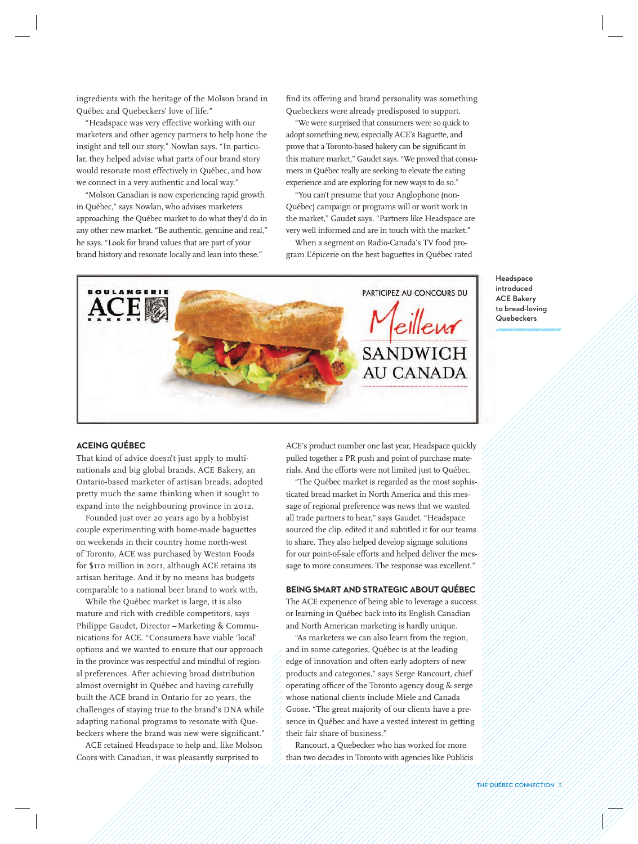ingredients with the heritage of the Molson brand in Québec and Quebeckers' love of life."

"Headspace was very effective working with our marketers and other agency partners to help hone the insight and tell our story," Nowlan says. "In particular, they helped advise what parts of our brand story would resonate most effectively in Québec, and how we connect in a very authentic and local way."

"Molson Canadian is now experiencing rapid growth in Québec," says Nowlan, who advises marketers approaching the Québec market to do what they'd do in any other new market. "Be authentic, genuine and real," he says. "Look for brand values that are part of your brand history and resonate locally and lean into these."

find its offering and brand personality was something Quebeckers were already predisposed to support.

"We were surprised that consumers were so quick to adopt something new, especially ACE's Baguette, and prove that a Toronto-based bakery can be significant in this mature market," Gaudet says. "We proved that consumers in Québec really are seeking to elevate the eating experience and are exploring for new ways to do so."

"You can't presume that your Anglophone (non-Québec) campaign or programs will or won't work in the market," Gaudet says. "Partners like Headspace are very well informed and are in touch with the market."

When a segment on Radio-Canada's TV food program L'épicerie on the best baguettes in Québec rated



Headspace introduced ACE Bakery to bread-loving Quebeckers

#### **ACEING QUÉBEC**

That kind of advice doesn't just apply to multinationals and big global brands. ACE Bakery, an Ontario-based marketer of artisan breads, adopted pretty much the same thinking when it sought to expand into the neighbouring province in 2012.

Founded just over 20 years ago by a hobbyist couple experimenting with home-made baguettes on weekends in their country home north-west of Toronto, ACE was purchased by Weston Foods for \$110 million in 2011, although ACE retains its artisan heritage. And it by no means has budgets comparable to a national beer brand to work with.

While the Québec market is large, it is also mature and rich with credible competitors, says Philippe Gaudet, Director – Marketing & Communications for ACE. "Consumers have viable 'local' options and we wanted to ensure that our approach in the province was respectful and mindful of regional preferences. After achieving broad distribution almost overnight in Québec and having carefully built the ACE brand in Ontario for 20 years, the challenges of staying true to the brand's DNA while adapting national programs to resonate with Quebeckers where the brand was new were significant."

ACE retained Headspace to help and, like Molson Coors with Canadian, it was pleasantly surprised to

ACE's product number one last year, Headspace quickly pulled together a PR push and point of purchase materials. And the efforts were not limited just to Québec.

"The Québec market is regarded as the most sophisticated bread market in North America and this message of regional preference was news that we wanted all trade partners to hear," says Gaudet. "Headspace sourced the clip, edited it and subtitled it for our teams to share. They also helped develop signage solutions for our point-of-sale efforts and helped deliver the message to more consumers. The response was excellent."

#### **BEING SMART AND STRATEGIC ABOUT QUÉBEC**

The ACE experience of being able to leverage a success or learning in Québec back into its English Canadian and North American marketing is hardly unique.

"As marketers we can also learn from the region, and in some categories, Québec is at the leading edge of innovation and often early adopters of new products and categories," says Serge Rancourt, chief operating officer of the Toronto agency doug & serge whose national clients include Miele and Canada Goose. "The great majority of our clients have a presence in Québec and have a vested interest in getting their fair share of business."

Rancourt, a Quebecker who has worked for more than two decades in Toronto with agencies like Publicis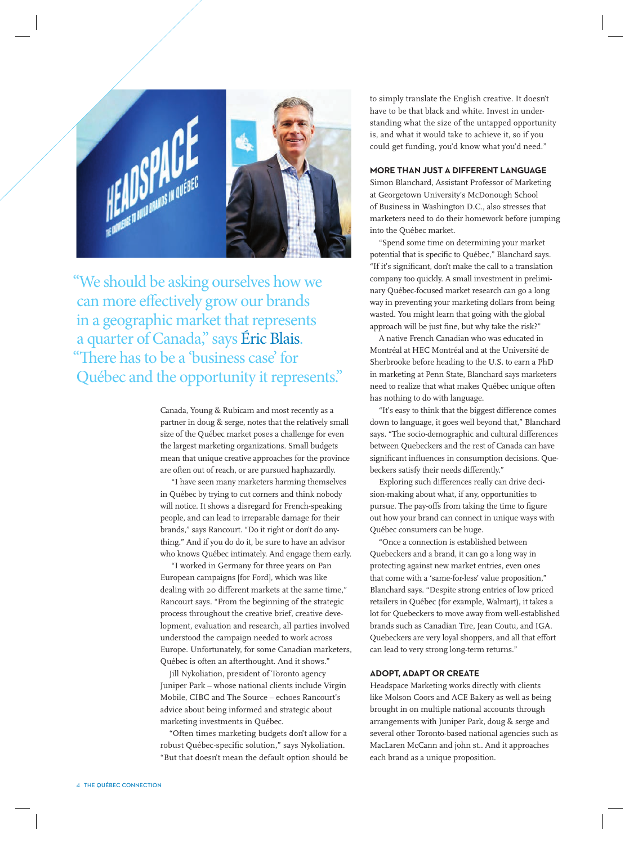

"We should be asking ourselves how we can more effectively grow our brands in a geographic market that represents a quarter of Canada," says Éric Blais. "There has to be a 'business case' for Québec and the opportunity it represents."

> Canada, Young & Rubicam and most recently as a partner in doug & serge, notes that the relatively small size of the Québec market poses a challenge for even the largest marketing organizations. Small budgets mean that unique creative approaches for the province are often out of reach, or are pursued haphazardly.

 "I have seen many marketers harming themselves in Québec by trying to cut corners and think nobody will notice. It shows a disregard for French-speaking people, and can lead to irreparable damage for their brands," says Rancourt. "Do it right or don't do anything." And if you do do it, be sure to have an advisor who knows Québec intimately. And engage them early.

 "I worked in Germany for three years on Pan European campaigns [for Ford], which was like dealing with 20 different markets at the same time," Rancourt says. "From the beginning of the strategic process throughout the creative brief, creative development, evaluation and research, all parties involved understood the campaign needed to work across Europe. Unfortunately, for some Canadian marketers, Québec is often an afterthought. And it shows."

Jill Nykoliation, president of Toronto agency Juniper Park – whose national clients include Virgin Mobile, CIBC and The Source – echoes Rancourt's advice about being informed and strategic about marketing investments in Québec.

"Often times marketing budgets don't allow for a robust Québec-specific solution," says Nykoliation. "But that doesn't mean the default option should be

to simply translate the English creative. It doesn't have to be that black and white. Invest in understanding what the size of the untapped opportunity is, and what it would take to achieve it, so if you could get funding, you'd know what you'd need."

#### **MORE THAN JUST A DIFFERENT LANGUAGE**

Simon Blanchard, Assistant Professor of Marketing at Georgetown University's McDonough School of Business in Washington D.C., also stresses that marketers need to do their homework before jumping into the Québec market.

"Spend some time on determining your market potential that is specific to Québec," Blanchard says. "If it's significant, don't make the call to a translation company too quickly. A small investment in preliminary Québec-focused market research can go a long way in preventing your marketing dollars from being wasted. You might learn that going with the global approach will be just fine, but why take the risk?"

A native French Canadian who was educated in Montréal at HEC Montréal and at the Université de Sherbrooke before heading to the U.S. to earn a PhD in marketing at Penn State, Blanchard says marketers need to realize that what makes Québec unique often has nothing to do with language.

"It's easy to think that the biggest difference comes down to language, it goes well beyond that," Blanchard says. "The socio-demographic and cultural differences between Quebeckers and the rest of Canada can have significant influences in consumption decisions. Quebeckers satisfy their needs differently."

Exploring such differences really can drive decision-making about what, if any, opportunities to pursue. The pay-offs from taking the time to figure out how your brand can connect in unique ways with Québec consumers can be huge.

"Once a connection is established between Quebeckers and a brand, it can go a long way in protecting against new market entries, even ones that come with a 'same-for-less' value proposition," Blanchard says. "Despite strong entries of low priced retailers in Québec (for example, Walmart), it takes a lot for Quebeckers to move away from well-established brands such as Canadian Tire, Jean Coutu, and IGA. Quebeckers are very loyal shoppers, and all that effort can lead to very strong long-term returns."

#### **ADOPT, ADAPT OR CREATE**

Headspace Marketing works directly with clients like Molson Coors and ACE Bakery as well as being brought in on multiple national accounts through arrangements with Juniper Park, doug & serge and several other Toronto-based national agencies such as MacLaren McCann and john st.. And it approaches each brand as a unique proposition.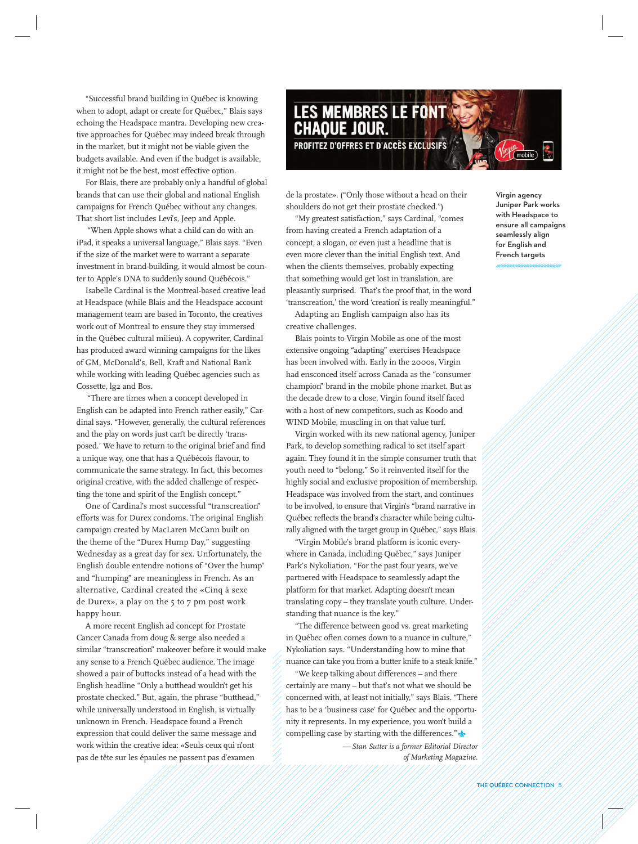"Successful brand building in Québec is knowing when to adopt, adapt or create for Québec," Blais says echoing the Headspace mantra. Developing new creative approaches for Québec may indeed break through in the market, but it might not be viable given the budgets available. And even if the budget is available, it might not be the best, most effective option.

For Blais, there are probably only a handful of global brands that can use their global and national English campaigns for French Québec without any changes. That short list includes Levi's, Jeep and Apple.

 "When Apple shows what a child can do with an iPad, it speaks a universal language," Blais says. "Even if the size of the market were to warrant a separate investment in brand-building, it would almost be counter to Apple's DNA to suddenly sound Québécois."

Isabelle Cardinal is the Montreal-based creative lead at Headspace (while Blais and the Headspace account management team are based in Toronto, the creatives work out of Montreal to ensure they stay immersed in the Québec cultural milieu). A copywriter, Cardinal has produced award winning campaigns for the likes of GM, McDonald's, Bell, Kraft and National Bank while working with leading Québec agencies such as Cossette, lg2 and Bos.

 "There are times when a concept developed in English can be adapted into French rather easily," Cardinal says. "However, generally, the cultural references and the play on words just can't be directly 'transposed.' We have to return to the original brief and find a unique way, one that has a Québécois flavour, to communicate the same strategy. In fact, this becomes original creative, with the added challenge of respecting the tone and spirit of the English concept."

One of Cardinal's most successful "transcreation" efforts was for Durex condoms. The original English campaign created by MacLaren McCann built on the theme of the "Durex Hump Day," suggesting Wednesday as a great day for sex. Unfortunately, the English double entendre notions of "Over the hump" and "humping" are meaningless in French. As an alternative, Cardinal created the «Cinq à sexe de Durex», a play on the 5 to 7 pm post work happy hour.

A more recent English ad concept for Prostate Cancer Canada from doug & serge also needed a similar "transcreation" makeover before it would make any sense to a French Québec audience. The image showed a pair of buttocks instead of a head with the English headline "Only a butthead wouldn't get his prostate checked." But, again, the phrase "butthead," while universally understood in English, is virtually unknown in French. Headspace found a French expression that could deliver the same message and work within the creative idea: «Seuls ceux qui n'ont pas de tête sur les épaules ne passent pas d'examen



de la prostate». ("Only those without a head on their shoulders do not get their prostate checked.")

"My greatest satisfaction," says Cardinal, "comes from having created a French adaptation of a concept, a slogan, or even just a headline that is even more clever than the initial English text. And when the clients themselves, probably expecting that something would get lost in translation, are pleasantly surprised. That's the proof that, in the word 'transcreation,' the word 'creation' is really meaningful."

Adapting an English campaign also has its creative challenges.

Blais points to Virgin Mobile as one of the most extensive ongoing "adapting" exercises Headspace has been involved with. Early in the 2000s, Virgin had ensconced itself across Canada as the "consumer champion" brand in the mobile phone market. But as the decade drew to a close, Virgin found itself faced with a host of new competitors, such as Koodo and WIND Mobile, muscling in on that value turf.

Virgin worked with its new national agency, Juniper Park, to develop something radical to set itself apart again. They found it in the simple consumer truth that youth need to "belong." So it reinvented itself for the highly social and exclusive proposition of membership. Headspace was involved from the start, and continues to be involved, to ensure that Virgin's "brand narrative in Québec reflects the brand's character while being culturally aligned with the target group in Québec," says Blais.

"Virgin Mobile's brand platform is iconic everywhere in Canada, including Québec," says Juniper Park's Nykoliation. "For the past four years, we've partnered with Headspace to seamlessly adapt the platform for that market. Adapting doesn't mean translating copy – they translate youth culture. Understanding that nuance is the key."

"The difference between good vs. great marketing in Québec often comes down to a nuance in culture," Nykoliation says. "Understanding how to mine that nuance can take you from a butter knife to a steak knife."

"We keep talking about differences – and there certainly are many – but that's not what we should be concerned with, at least not initially," says Blais. "There has to be a 'business case' for Québec and the opportunity it represents. In my experience, you won't build a compelling case by starting with the differences."

> *— Stan Sutter is a former Editorial Director of Marketing Magazine.*

Virgin agency Juniper Park works with Headspace to ensure all campaigns seamlessly align for English and French targets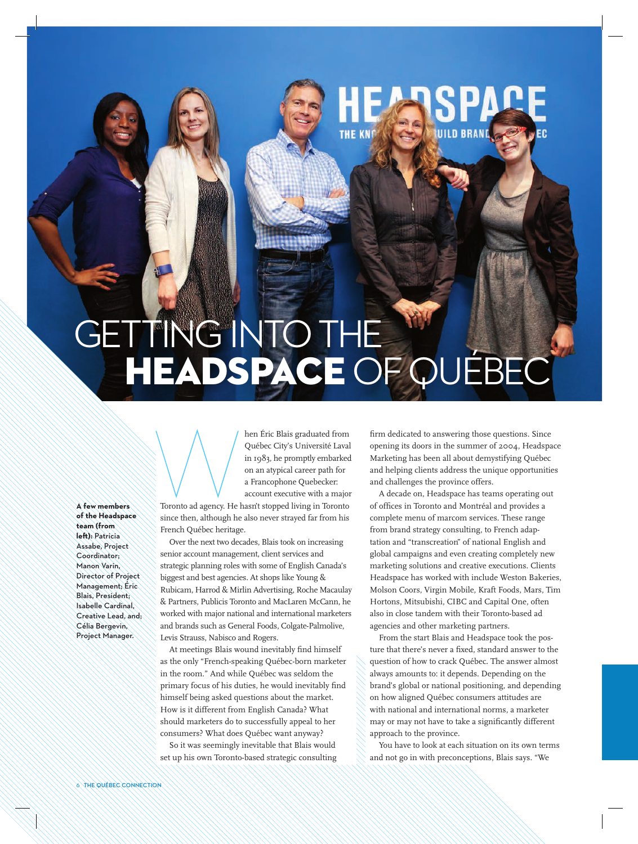## **HEADSPACE OF QUÉBEC GETTING INTO THE A**

**THE KNO** 

**A few members of the Headspace team (from left):** Patricia Assabe, Project Coordinator; Manon Varin, Director of Project Management; Éric Blais, President; Isabelle Cardinal, Creative Lead, and; Célia Bergevin, Project Manager.

and the first Blais graduated from<br>Québec City's Université Laval<br>in 1983, he promptly embarked<br>on an atypical career path for<br>a Francophone Quebecker:<br>account executive with a major<br>Toronto ad agency. He hasn't stopped li Québec City's Université Laval in 1983, he promptly embarked on an atypical career path for a Francophone Quebecker: account executive with a major

Toronto ad agency. He hasn't stopped living in Toronto since then, although he also never strayed far from his French Québec heritage.

Over the next two decades, Blais took on increasing senior account management, client services and strategic planning roles with some of English Canada's biggest and best agencies. At shops like Young & Rubicam, Harrod & Mirlin Advertising, Roche Macaulay & Partners, Publicis Toronto and MacLaren McCann, he worked with major national and international marketers and brands such as General Foods, Colgate-Palmolive, Levis Strauss, Nabisco and Rogers.

At meetings Blais wound inevitably find himself as the only "French-speaking Québec-born marketer in the room." And while Québec was seldom the primary focus of his duties, he would inevitably find himself being asked questions about the market. How is it different from English Canada? What should marketers do to successfully appeal to her consumers? What does Québec want anyway?

So it was seemingly inevitable that Blais would set up his own Toronto-based strategic consulting

firm dedicated to answering those questions. Since opening its doors in the summer of 2004, Headspace Marketing has been all about demystifying Québec and helping clients address the unique opportunities and challenges the province offers.

UILD BRAND

A decade on, Headspace has teams operating out of offices in Toronto and Montréal and provides a complete menu of marcom services. These range from brand strategy consulting, to French adaptation and "transcreation" of national English and global campaigns and even creating completely new marketing solutions and creative executions. Clients Headspace has worked with include Weston Bakeries, Molson Coors, Virgin Mobile, Kraft Foods, Mars, Tim Hortons, Mitsubishi, CIBC and Capital One, often also in close tandem with their Toronto-based ad agencies and other marketing partners.

From the start Blais and Headspace took the posture that there's never a fixed, standard answer to the question of how to crack Québec. The answer almost always amounts to: it depends. Depending on the brand's global or national positioning, and depending on how aligned Québec consumers attitudes are with national and international norms, a marketer may or may not have to take a significantly different approach to the province.

You have to look at each situation on its own terms and not go in with preconceptions, Blais says. "We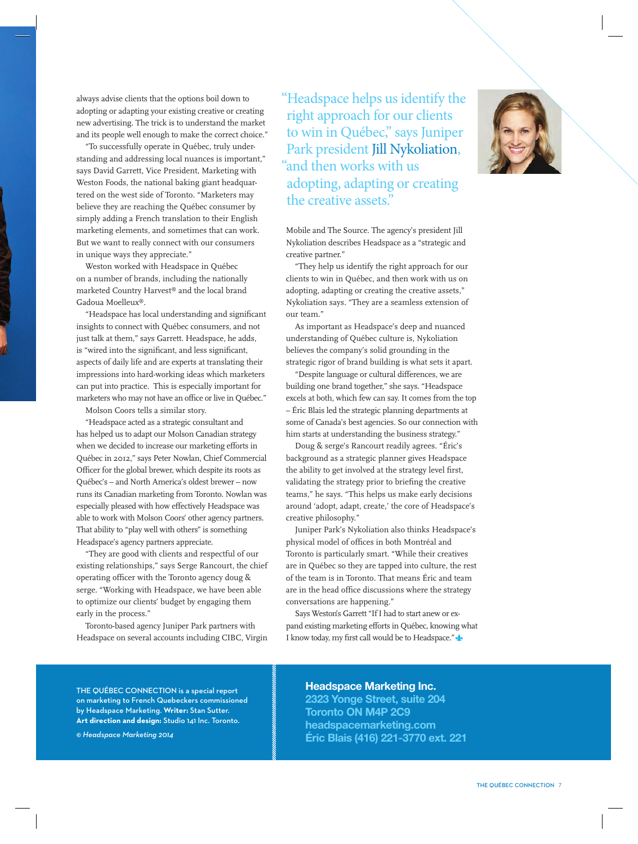always advise clients that the options boil down to adopting or adapting your existing creative or creating new advertising. The trick is to understand the market and its people well enough to make the correct choice."

"To successfully operate in Québec, truly understanding and addressing local nuances is important," says David Garrett, Vice President, Marketing with Weston Foods, the national baking giant headquartered on the west side of Toronto. "Marketers may believe they are reaching the Québec consumer by simply adding a French translation to their English marketing elements, and sometimes that can work. But we want to really connect with our consumers in unique ways they appreciate."

Weston worked with Headspace in Québec on a number of brands, including the nationally marketed Country Harvest® and the local brand Gadoua Moelleux®.

"Headspace has local understanding and significant insights to connect with Québec consumers, and not just talk at them," says Garrett. Headspace, he adds, is "wired into the significant, and less significant, aspects of daily life and are experts at translating their impressions into hard-working ideas which marketers can put into practice. This is especially important for marketers who may not have an office or live in Québec."

Molson Coors tells a similar story.

"Headspace acted as a strategic consultant and has helped us to adapt our Molson Canadian strategy when we decided to increase our marketing efforts in Québec in 2012," says Peter Nowlan, Chief Commercial Officer for the global brewer, which despite its roots as Québec's – and North America's oldest brewer – now runs its Canadian marketing from Toronto. Nowlan was especially pleased with how effectively Headspace was able to work with Molson Coors' other agency partners. That ability to "play well with others" is something Headspace's agency partners appreciate.

"They are good with clients and respectful of our existing relationships," says Serge Rancourt, the chief operating officer with the Toronto agency doug & serge. "Working with Headspace, we have been able to optimize our clients' budget by engaging them early in the process."

Toronto-based agency Juniper Park partners with Headspace on several accounts including CIBC, Virgin

**THE QUÉBEC CONNECTION** is a special report on marketing to French Quebeckers commissioned by Headspace Marketing. **Writer:** Stan Sutter. **Art direction and design:** Studio 141 Inc. Toronto.

"Headspace helps us identify the right approach for our clients to win in Québec," says Juniper Park president Jill Nykoliation, "and then works with us adopting, adapting or creating the creative assets."

Mobile and The Source. The agency's president Jill Nykoliation describes Headspace as a "strategic and creative partner."

"They help us identify the right approach for our clients to win in Québec, and then work with us on adopting, adapting or creating the creative assets," Nykoliation says. "They are a seamless extension of our team."

As important as Headspace's deep and nuanced understanding of Québec culture is, Nykoliation believes the company's solid grounding in the strategic rigor of brand building is what sets it apart.

"Despite language or cultural differences, we are building one brand together," she says. "Headspace excels at both, which few can say. It comes from the top – Éric Blais led the strategic planning departments at some of Canada's best agencies. So our connection with him starts at understanding the business strategy."

Doug & serge's Rancourt readily agrees. "Éric's background as a strategic planner gives Headspace the ability to get involved at the strategy level first, validating the strategy prior to briefing the creative teams," he says. "This helps us make early decisions around 'adopt, adapt, create,' the core of Headspace's creative philosophy."

Juniper Park's Nykoliation also thinks Headspace's physical model of offices in both Montréal and Toronto is particularly smart. "While their creatives are in Québec so they are tapped into culture, the rest of the team is in Toronto. That means Éric and team are in the head office discussions where the strategy conversations are happening."

Says Weston's Garrett "If I had to start anew or expand existing marketing efforts in Québec, knowing what I know today, my first call would be to Headspace."

#### Headspace Marketing Inc.

2323 Yonge Street, suite 204 Toronto ON M4P 2C9 headspacemarketing.com Éric Blais (416) 221-3770 ext. 221



*© Headspace Marketing 2014*